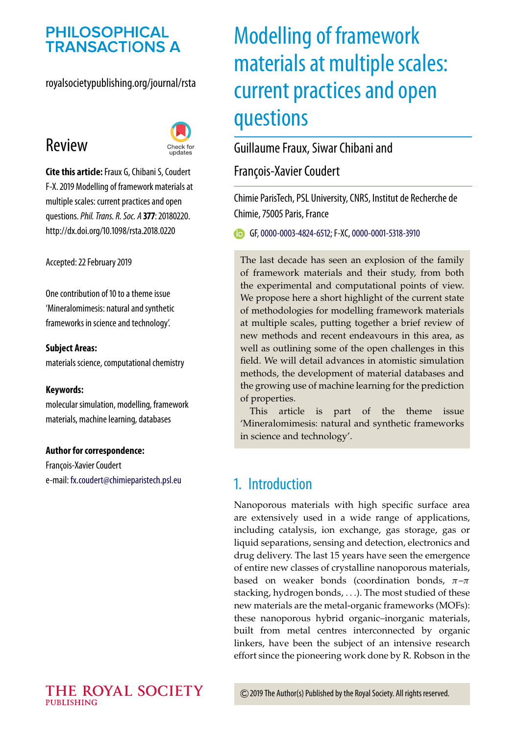## **PHILOSOPHICAL TRANSACTIONS A**

#### royalsocietypublishing.org/journal/rsta

## Review



**Cite this article:**Fraux G, Chibani S, Coudert F-X. 2019 Modelling of framework materials at multiple scales: current practices and open questions.*Phil. Trans. R. Soc. A* **377**: 20180220. http://dx.doi.org/10.1098/rsta.2018.0220

Accepted: 22 February 2019

One contribution of 10 to a theme issue ['Mineralomimesis: natural and synthetic](http://dx.doi.org/10.1098/rsta/377/2149) frameworks in science and technology'.

#### **Subject Areas:**

materials science, computational chemistry

#### **Keywords:**

molecular simulation, modelling, framework materials, machine learning, databases

#### **Author for correspondence:**

François-Xavier Coudert e-mail: [fx.coudert@chimieparistech.psl.eu](mailto:fx.coudert@chimieparistech.psl.eu)

# Modelling of framework materials at multiple scales: current practices and open questions

#### Guillaume Fraux, Siwar Chibani and

François-Xavier Coudert

Chimie ParisTech, PSL University, CNRS, Institut de Recherche de Chimie, 75005 Paris, France

GF,[0000-0003-4824-6512;](http://orcid.org/0000-0003-4824-6512) F-XC,[0000-0001-5318-3910](http://orcid.org/0000-0001-5318-3910)

The last decade has seen an explosion of the family of framework materials and their study, from both the experimental and computational points of view. We propose here a short highlight of the current state of methodologies for modelling framework materials at multiple scales, putting together a brief review of new methods and recent endeavours in this area, as well as outlining some of the open challenges in this field. We will detail advances in atomistic simulation methods, the development of material databases and the growing use of machine learning for the prediction of properties.

This article is part of the theme issue 'Mineralomimesis: natural and synthetic frameworks in science and technology'.

## 1. Introduction

Nanoporous materials with high specific surface area are extensively used in a wide range of applications, including catalysis, ion exchange, gas storage, gas or liquid separations, sensing and detection, electronics and drug delivery. The last 15 years have seen the emergence of entire new classes of crystalline nanoporous materials, based on weaker bonds (coordination bonds,  $\pi-\pi$ stacking, hydrogen bonds, ...). The most studied of these new materials are the metal-organic frameworks (MOFs): these nanoporous hybrid organic–inorganic materials, built from metal centres interconnected by organic linkers, have been the subject of an intensive research effort since the pioneering work done by R. Robson in the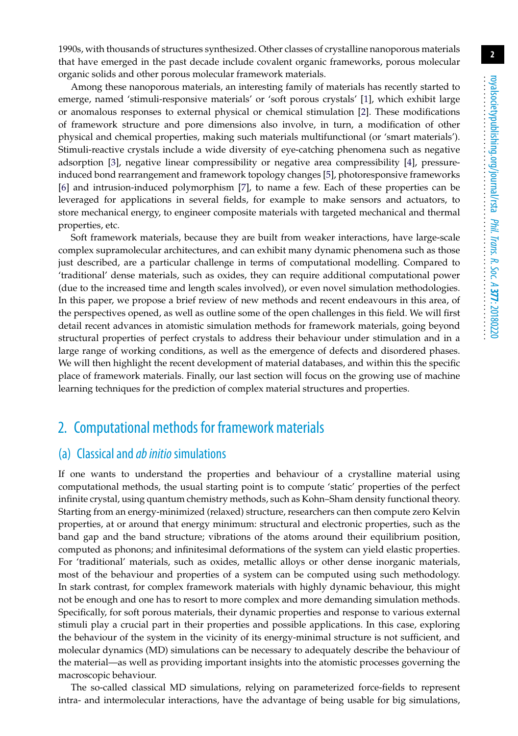1990s, with thousands of structures synthesized. Other classes of crystalline nanoporous materials that have emerged in the past decade include covalent organic frameworks, porous molecular organic solids and other porous molecular framework materials.

Among these nanoporous materials, an interesting family of materials has recently started to emerge, named 'stimuli-responsive materials' or 'soft porous crystals' [\[1\]](#page-12-0), which exhibit large or anomalous responses to external physical or chemical stimulation [\[2\]](#page-12-1). These modifications of framework structure and pore dimensions also involve, in turn, a modification of other physical and chemical properties, making such materials multifunctional (or 'smart materials'). Stimuli-reactive crystals include a wide diversity of eye-catching phenomena such as negative adsorption [\[3\]](#page-12-2), negative linear compressibility or negative area compressibility [\[4\]](#page-12-3), pressureinduced bond rearrangement and framework topology changes [\[5\]](#page-12-4), photoresponsive frameworks [\[6\]](#page-12-5) and intrusion-induced polymorphism [\[7\]](#page-12-6), to name a few. Each of these properties can be leveraged for applications in several fields, for example to make sensors and actuators, to store mechanical energy, to engineer composite materials with targeted mechanical and thermal properties, etc.

Soft framework materials, because they are built from weaker interactions, have large-scale complex supramolecular architectures, and can exhibit many dynamic phenomena such as those just described, are a particular challenge in terms of computational modelling. Compared to 'traditional' dense materials, such as oxides, they can require additional computational power (due to the increased time and length scales involved), or even novel simulation methodologies. In this paper, we propose a brief review of new methods and recent endeavours in this area, of the perspectives opened, as well as outline some of the open challenges in this field. We will first detail recent advances in atomistic simulation methods for framework materials, going beyond structural properties of perfect crystals to address their behaviour under stimulation and in a large range of working conditions, as well as the emergence of defects and disordered phases. We will then highlight the recent development of material databases, and within this the specific place of framework materials. Finally, our last section will focus on the growing use of machine learning techniques for the prediction of complex material structures and properties.

## 2. Computational methods for framework materials

#### (a) Classical and*ab initio*simulations

If one wants to understand the properties and behaviour of a crystalline material using computational methods, the usual starting point is to compute 'static' properties of the perfect infinite crystal, using quantum chemistry methods, such as Kohn–Sham density functional theory. Starting from an energy-minimized (relaxed) structure, researchers can then compute zero Kelvin properties, at or around that energy minimum: structural and electronic properties, such as the band gap and the band structure; vibrations of the atoms around their equilibrium position, computed as phonons; and infinitesimal deformations of the system can yield elastic properties. For 'traditional' materials, such as oxides, metallic alloys or other dense inorganic materials, most of the behaviour and properties of a system can be computed using such methodology. In stark contrast, for complex framework materials with highly dynamic behaviour, this might not be enough and one has to resort to more complex and more demanding simulation methods. Specifically, for soft porous materials, their dynamic properties and response to various external stimuli play a crucial part in their properties and possible applications. In this case, exploring the behaviour of the system in the vicinity of its energy-minimal structure is not sufficient, and molecular dynamics (MD) simulations can be necessary to adequately describe the behaviour of the material—as well as providing important insights into the atomistic processes governing the macroscopic behaviour.

The so-called classical MD simulations, relying on parameterized force-fields to represent intra- and intermolecular interactions, have the advantage of being usable for big simulations,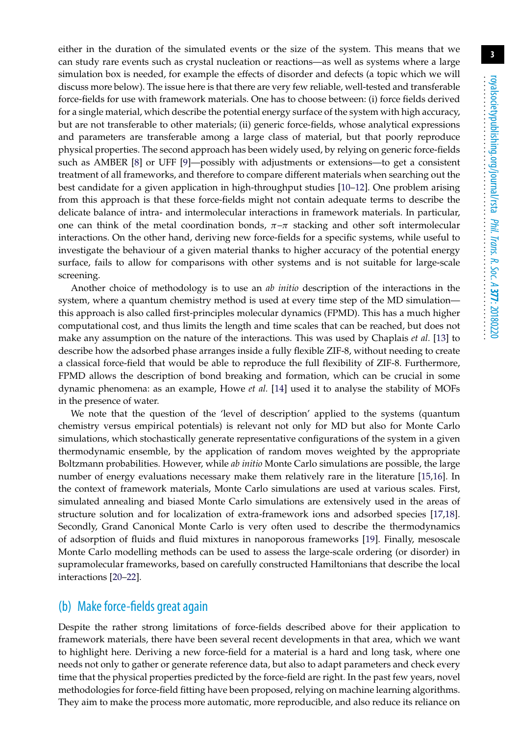either in the duration of the simulated events or the size of the system. This means that we can study rare events such as crystal nucleation or reactions—as well as systems where a large simulation box is needed, for example the effects of disorder and defects (a topic which we will discuss more below). The issue here is that there are very few reliable, well-tested and transferable force-fields for use with framework materials. One has to choose between: (i) force fields derived for a single material, which describe the potential energy surface of the system with high accuracy, but are not transferable to other materials; (ii) generic force-fields, whose analytical expressions and parameters are transferable among a large class of material, but that poorly reproduce physical properties. The second approach has been widely used, by relying on generic force-fields such as AMBER [\[8\]](#page-12-7) or UFF [\[9\]](#page-12-8)—possibly with adjustments or extensions—to get a consistent treatment of all frameworks, and therefore to compare different materials when searching out the best candidate for a given application in high-throughput studies [\[10–](#page-12-9)[12\]](#page-12-10). One problem arising from this approach is that these force-fields might not contain adequate terms to describe the delicate balance of intra- and intermolecular interactions in framework materials. In particular, one can think of the metal coordination bonds,  $\pi-\pi$  stacking and other soft intermolecular interactions. On the other hand, deriving new force-fields for a specific systems, while useful to investigate the behaviour of a given material thanks to higher accuracy of the potential energy surface, fails to allow for comparisons with other systems and is not suitable for large-scale screening.

Another choice of methodology is to use an *ab initio* description of the interactions in the system, where a quantum chemistry method is used at every time step of the MD simulation this approach is also called first-principles molecular dynamics (FPMD). This has a much higher computational cost, and thus limits the length and time scales that can be reached, but does not make any assumption on the nature of the interactions. This was used by Chaplais *et al.* [\[13\]](#page-12-11) to describe how the adsorbed phase arranges inside a fully flexible ZIF-8, without needing to create a classical force-field that would be able to reproduce the full flexibility of ZIF-8. Furthermore, FPMD allows the description of bond breaking and formation, which can be crucial in some dynamic phenomena: as an example, Howe *et al.* [\[14\]](#page-12-12) used it to analyse the stability of MOFs in the presence of water.

We note that the question of the 'level of description' applied to the systems (quantum chemistry versus empirical potentials) is relevant not only for MD but also for Monte Carlo simulations, which stochastically generate representative configurations of the system in a given thermodynamic ensemble, by the application of random moves weighted by the appropriate Boltzmann probabilities. However, while *ab initio* Monte Carlo simulations are possible, the large number of energy evaluations necessary make them relatively rare in the literature [\[15](#page-12-13)[,16\]](#page-12-14). In the context of framework materials, Monte Carlo simulations are used at various scales. First, simulated annealing and biased Monte Carlo simulations are extensively used in the areas of structure solution and for localization of extra-framework ions and adsorbed species [\[17,](#page-13-0)[18\]](#page-13-1). Secondly, Grand Canonical Monte Carlo is very often used to describe the thermodynamics of adsorption of fluids and fluid mixtures in nanoporous frameworks [\[19\]](#page-13-2). Finally, mesoscale Monte Carlo modelling methods can be used to assess the large-scale ordering (or disorder) in supramolecular frameworks, based on carefully constructed Hamiltonians that describe the local interactions [\[20–](#page-13-3)[22\]](#page-13-4).

#### (b) Make force-fields great again

Despite the rather strong limitations of force-fields described above for their application to framework materials, there have been several recent developments in that area, which we want to highlight here. Deriving a new force-field for a material is a hard and long task, where one needs not only to gather or generate reference data, but also to adapt parameters and check every time that the physical properties predicted by the force-field are right. In the past few years, novel methodologies for force-field fitting have been proposed, relying on machine learning algorithms. They aim to make the process more automatic, more reproducible, and also reduce its reliance on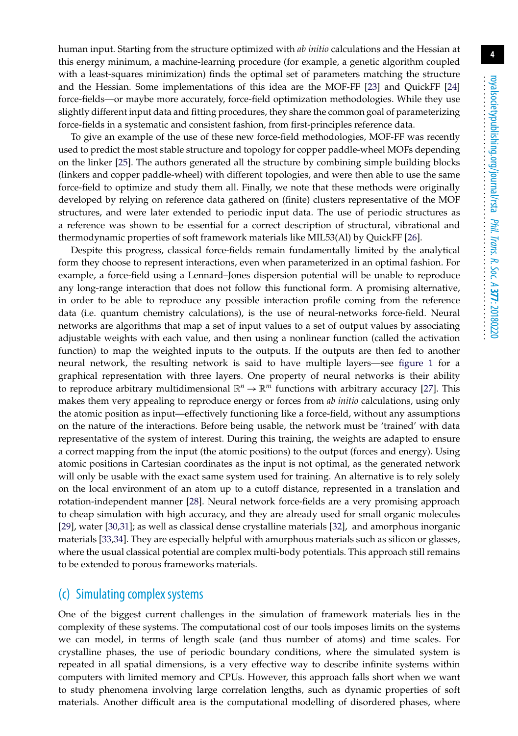human input. Starting from the structure optimized with *ab initio* calculations and the Hessian at this energy minimum, a machine-learning procedure (for example, a genetic algorithm coupled with a least-squares minimization) finds the optimal set of parameters matching the structure and the Hessian. Some implementations of this idea are the MOF-FF [\[23\]](#page-13-5) and QuickFF [\[24\]](#page-13-6) force-fields—or maybe more accurately, force-field optimization methodologies. While they use slightly different input data and fitting procedures, they share the common goal of parameterizing force-fields in a systematic and consistent fashion, from first-principles reference data.

To give an example of the use of these new force-field methodologies, MOF-FF was recently used to predict the most stable structure and topology for copper paddle-wheel MOFs depending on the linker [\[25\]](#page-13-7). The authors generated all the structure by combining simple building blocks (linkers and copper paddle-wheel) with different topologies, and were then able to use the same force-field to optimize and study them all. Finally, we note that these methods were originally developed by relying on reference data gathered on (finite) clusters representative of the MOF structures, and were later extended to periodic input data. The use of periodic structures as a reference was shown to be essential for a correct description of structural, vibrational and thermodynamic properties of soft framework materials like MIL53(Al) by QuickFF [\[26\]](#page-13-8).

Despite this progress, classical force-fields remain fundamentally limited by the analytical form they choose to represent interactions, even when parameterized in an optimal fashion. For example, a force-field using a Lennard–Jones dispersion potential will be unable to reproduce any long-range interaction that does not follow this functional form. A promising alternative, in order to be able to reproduce any possible interaction profile coming from the reference data (i.e. quantum chemistry calculations), is the use of neural-networks force-field. Neural networks are algorithms that map a set of input values to a set of output values by associating adjustable weights with each value, and then using a nonlinear function (called the activation function) to map the weighted inputs to the outputs. If the outputs are then fed to another neural network, the resulting network is said to have multiple layers—see [figure 1](#page-4-0) for a graphical representation with three layers. One property of neural networks is their ability to reproduce arbitrary multidimensional  $\mathbb{R}^n \to \mathbb{R}^m$  functions with arbitrary accuracy [\[27\]](#page-13-9). This makes them very appealing to reproduce energy or forces from *ab initio* calculations, using only the atomic position as input—effectively functioning like a force-field, without any assumptions on the nature of the interactions. Before being usable, the network must be 'trained' with data representative of the system of interest. During this training, the weights are adapted to ensure a correct mapping from the input (the atomic positions) to the output (forces and energy). Using atomic positions in Cartesian coordinates as the input is not optimal, as the generated network will only be usable with the exact same system used for training. An alternative is to rely solely on the local environment of an atom up to a cutoff distance, represented in a translation and rotation-independent manner [\[28\]](#page-13-10). Neural network force-fields are a very promising approach to cheap simulation with high accuracy, and they are already used for small organic molecules [\[29\]](#page-13-11), water [\[30](#page-13-12)[,31\]](#page-13-13); as well as classical dense crystalline materials [\[32\]](#page-13-14), and amorphous inorganic materials [\[33](#page-13-15)[,34\]](#page-13-16). They are especially helpful with amorphous materials such as silicon or glasses, where the usual classical potential are complex multi-body potentials. This approach still remains to be extended to porous frameworks materials.

#### (c) Simulating complex systems

One of the biggest current challenges in the simulation of framework materials lies in the complexity of these systems. The computational cost of our tools imposes limits on the systems we can model, in terms of length scale (and thus number of atoms) and time scales. For crystalline phases, the use of periodic boundary conditions, where the simulated system is repeated in all spatial dimensions, is a very effective way to describe infinite systems within computers with limited memory and CPUs. However, this approach falls short when we want to study phenomena involving large correlation lengths, such as dynamic properties of soft materials. Another difficult area is the computational modelling of disordered phases, where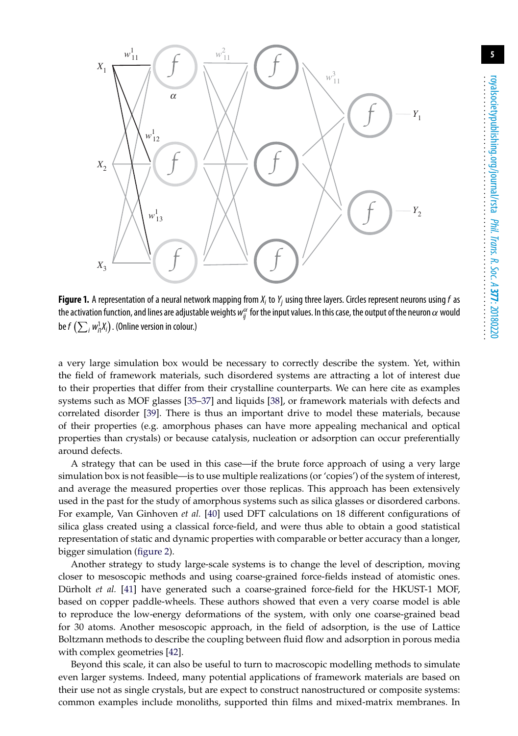

<span id="page-4-0"></span>**Figure 1.** A representation of a neural network mapping from *Xi* to*Yj* using three layers. Circles represent neurons using*f* as the activation function, and lines are adjustable weights  $w_{ij}^\alpha$  for the input values. In this case, the output of the neuron  $\alpha$  would be  $f\left(\sum_{i} w_{i1}^1 X_i\right)$ . (Online version in colour.)

a very large simulation box would be necessary to correctly describe the system. Yet, within the field of framework materials, such disordered systems are attracting a lot of interest due to their properties that differ from their crystalline counterparts. We can here cite as examples systems such as MOF glasses [\[35](#page-13-17)[–37\]](#page-14-0) and liquids [\[38\]](#page-14-1), or framework materials with defects and correlated disorder [\[39\]](#page-14-2). There is thus an important drive to model these materials, because of their properties (e.g. amorphous phases can have more appealing mechanical and optical properties than crystals) or because catalysis, nucleation or adsorption can occur preferentially around defects.

A strategy that can be used in this case—if the brute force approach of using a very large simulation box is not feasible—is to use multiple realizations (or 'copies') of the system of interest, and average the measured properties over those replicas. This approach has been extensively used in the past for the study of amorphous systems such as silica glasses or disordered carbons. For example, Van Ginhoven *et al.* [\[40\]](#page-14-3) used DFT calculations on 18 different configurations of silica glass created using a classical force-field, and were thus able to obtain a good statistical representation of static and dynamic properties with comparable or better accuracy than a longer, bigger simulation [\(figure 2\)](#page-5-0).

Another strategy to study large-scale systems is to change the level of description, moving closer to mesoscopic methods and using coarse-grained force-fields instead of atomistic ones. Dürholt *et al.* [\[41\]](#page-14-4) have generated such a coarse-grained force-field for the HKUST-1 MOF, based on copper paddle-wheels. These authors showed that even a very coarse model is able to reproduce the low-energy deformations of the system, with only one coarse-grained bead for 30 atoms. Another mesoscopic approach, in the field of adsorption, is the use of Lattice Boltzmann methods to describe the coupling between fluid flow and adsorption in porous media with complex geometries [\[42\]](#page-14-5).

Beyond this scale, it can also be useful to turn to macroscopic modelling methods to simulate even larger systems. Indeed, many potential applications of framework materials are based on their use not as single crystals, but are expect to construct nanostructured or composite systems: common examples include monoliths, supported thin films and mixed-matrix membranes. In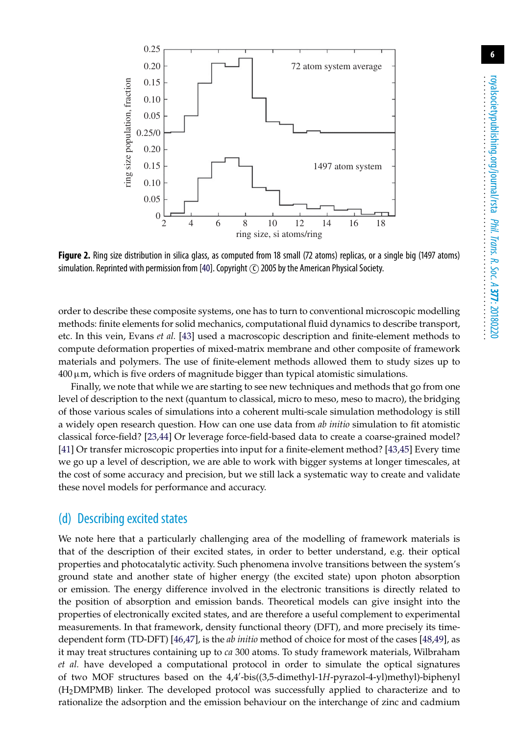

<span id="page-5-0"></span>**Figure 2.** Ring size distribution in silica glass, as computed from 18 small (72 atoms) replicas, or a single big (1497 atoms) simulation. Reprinted with permission from [\[40\]](#page-14-3). Copyright  $\circ$  2005 by the American Physical Society.

order to describe these composite systems, one has to turn to conventional microscopic modelling methods: finite elements for solid mechanics, computational fluid dynamics to describe transport, etc. In this vein, Evans *et al.* [\[43\]](#page-14-6) used a macroscopic description and finite-element methods to compute deformation properties of mixed-matrix membrane and other composite of framework materials and polymers. The use of finite-element methods allowed them to study sizes up to  $400 \,\mu$ m, which is five orders of magnitude bigger than typical atomistic simulations.

Finally, we note that while we are starting to see new techniques and methods that go from one level of description to the next (quantum to classical, micro to meso, meso to macro), the bridging of those various scales of simulations into a coherent multi-scale simulation methodology is still a widely open research question. How can one use data from *ab initio* simulation to fit atomistic classical force-field? [\[23,](#page-13-5)[44\]](#page-14-7) Or leverage force-field-based data to create a coarse-grained model? [\[41\]](#page-14-4) Or transfer microscopic properties into input for a finite-element method? [\[43,](#page-14-6)[45\]](#page-14-8) Every time we go up a level of description, we are able to work with bigger systems at longer timescales, at the cost of some accuracy and precision, but we still lack a systematic way to create and validate these novel models for performance and accuracy.

#### (d) Describing excited states

We note here that a particularly challenging area of the modelling of framework materials is that of the description of their excited states, in order to better understand, e.g. their optical properties and photocatalytic activity. Such phenomena involve transitions between the system's ground state and another state of higher energy (the excited state) upon photon absorption or emission. The energy difference involved in the electronic transitions is directly related to the position of absorption and emission bands. Theoretical models can give insight into the properties of electronically excited states, and are therefore a useful complement to experimental measurements. In that framework, density functional theory (DFT), and more precisely its timedependent form (TD-DFT) [\[46](#page-14-9)[,47\]](#page-14-10), is the *ab initio* method of choice for most of the cases [\[48](#page-14-11)[,49\]](#page-14-12), as it may treat structures containing up to *ca* 300 atoms. To study framework materials, Wilbraham *et al.* have developed a computational protocol in order to simulate the optical signatures of two MOF structures based on the 4,4 -bis((3,5-dimethyl-1*H*-pyrazol-4-yl)methyl)-biphenyl (H2DMPMB) linker. The developed protocol was successfully applied to characterize and to rationalize the adsorption and the emission behaviour on the interchange of zinc and cadmium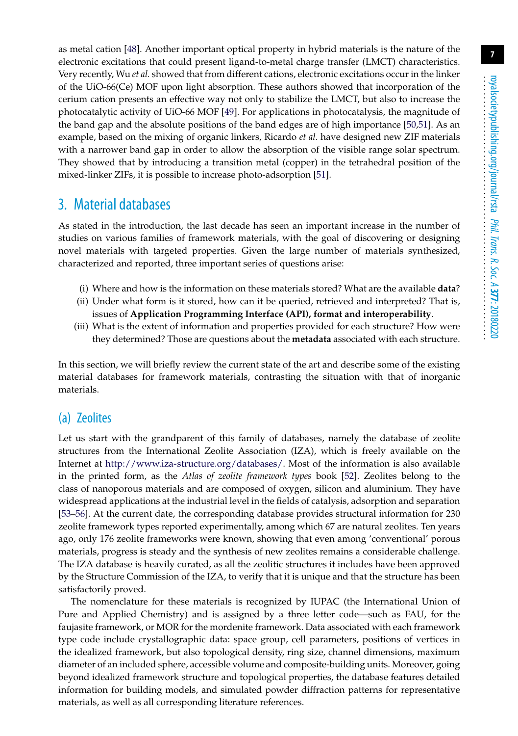as metal cation [\[48\]](#page-14-11). Another important optical property in hybrid materials is the nature of the electronic excitations that could present ligand-to-metal charge transfer (LMCT) characteristics. Very recently, Wu *et al.* showed that from different cations, electronic excitations occur in the linker of the UiO-66(Ce) MOF upon light absorption. These authors showed that incorporation of the cerium cation presents an effective way not only to stabilize the LMCT, but also to increase the photocatalytic activity of UiO-66 MOF [\[49\]](#page-14-12). For applications in photocatalysis, the magnitude of the band gap and the absolute positions of the band edges are of high importance [\[50,](#page-14-13)[51\]](#page-14-14). As an example, based on the mixing of organic linkers, Ricardo *et al.* have designed new ZIF materials with a narrower band gap in order to allow the absorption of the visible range solar spectrum. They showed that by introducing a transition metal (copper) in the tetrahedral position of the mixed-linker ZIFs, it is possible to increase photo-adsorption [\[51\]](#page-14-14).

#### 3. Material databases

As stated in the introduction, the last decade has seen an important increase in the number of studies on various families of framework materials, with the goal of discovering or designing novel materials with targeted properties. Given the large number of materials synthesized, characterized and reported, three important series of questions arise:

- (i) Where and how is the information on these materials stored? What are the available **data**?
- (ii) Under what form is it stored, how can it be queried, retrieved and interpreted? That is, issues of **Application Programming Interface (API), format and interoperability**.
- (iii) What is the extent of information and properties provided for each structure? How were they determined? Those are questions about the **metadata** associated with each structure.

In this section, we will briefly review the current state of the art and describe some of the existing material databases for framework materials, contrasting the situation with that of inorganic materials.

#### (a) Zeolites

Let us start with the grandparent of this family of databases, namely the database of zeolite structures from the International Zeolite Association (IZA), which is freely available on the Internet at [http://www.iza-structure.org/databases/.](http://www.iza-structure.org/databases/) Most of the information is also available in the printed form, as the *Atlas of zeolite framework types* book [\[52\]](#page-14-15). Zeolites belong to the class of nanoporous materials and are composed of oxygen, silicon and aluminium. They have widespread applications at the industrial level in the fields of catalysis, adsorption and separation [\[53](#page-14-16)[–56\]](#page-14-17). At the current date, the corresponding database provides structural information for 230 zeolite framework types reported experimentally, among which 67 are natural zeolites. Ten years ago, only 176 zeolite frameworks were known, showing that even among 'conventional' porous materials, progress is steady and the synthesis of new zeolites remains a considerable challenge. The IZA database is heavily curated, as all the zeolitic structures it includes have been approved by the Structure Commission of the IZA, to verify that it is unique and that the structure has been satisfactorily proved.

The nomenclature for these materials is recognized by IUPAC (the International Union of Pure and Applied Chemistry) and is assigned by a three letter code—such as FAU, for the faujasite framework, or MOR for the mordenite framework. Data associated with each framework type code include crystallographic data: space group, cell parameters, positions of vertices in the idealized framework, but also topological density, ring size, channel dimensions, maximum diameter of an included sphere, accessible volume and composite-building units. Moreover, going beyond idealized framework structure and topological properties, the database features detailed information for building models, and simulated powder diffraction patterns for representative materials, as well as all corresponding literature references.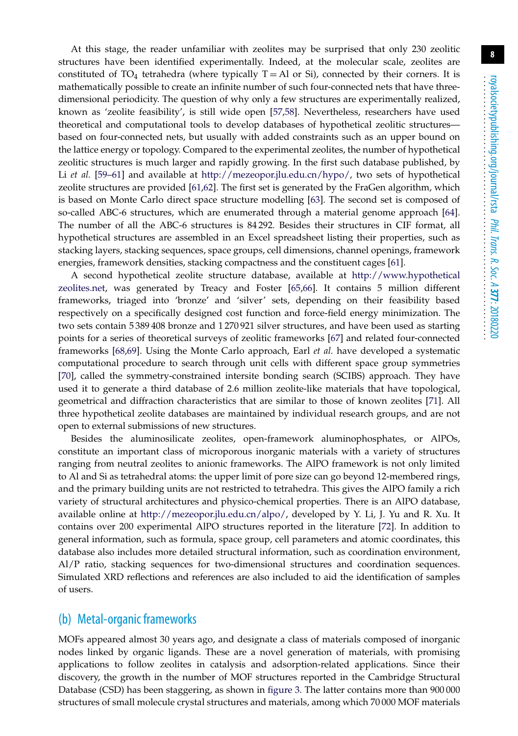At this stage, the reader unfamiliar with zeolites may be surprised that only 230 zeolitic structures have been identified experimentally. Indeed, at the molecular scale, zeolites are constituted of TO<sub>4</sub> tetrahedra (where typically  $T = AI$  or Si), connected by their corners. It is mathematically possible to create an infinite number of such four-connected nets that have threedimensional periodicity. The question of why only a few structures are experimentally realized, known as 'zeolite feasibility', is still wide open [\[57](#page-14-18)[,58\]](#page-14-19). Nevertheless, researchers have used theoretical and computational tools to develop databases of hypothetical zeolitic structures based on four-connected nets, but usually with added constraints such as an upper bound on the lattice energy or topology. Compared to the experimental zeolites, the number of hypothetical zeolitic structures is much larger and rapidly growing. In the first such database published, by Li *et al.* [\[59–](#page-15-0)[61\]](#page-15-1) and available at [http://mezeopor.jlu.edu.cn/hypo/,](http://mezeopor.jlu.edu.cn/hypo/) two sets of hypothetical zeolite structures are provided [\[61,](#page-15-1)[62\]](#page-15-2). The first set is generated by the FraGen algorithm, which is based on Monte Carlo direct space structure modelling [\[63\]](#page-15-3). The second set is composed of so-called ABC-6 structures, which are enumerated through a material genome approach [\[64\]](#page-15-4). The number of all the ABC-6 structures is 84 292. Besides their structures in CIF format, all hypothetical structures are assembled in an Excel spreadsheet listing their properties, such as stacking layers, stacking sequences, space groups, cell dimensions, channel openings, framework energies, framework densities, stacking compactness and the constituent cages [\[61\]](#page-15-1).

A second hypothetical zeolite structure database, available at [http://www.hypothetical](http://www.hypotheticalzeolites.net) [zeolites.net,](http://www.hypotheticalzeolites.net) was generated by Treacy and Foster [\[65,](#page-15-5)[66\]](#page-15-6). It contains 5 million different frameworks, triaged into 'bronze' and 'silver' sets, depending on their feasibility based respectively on a specifically designed cost function and force-field energy minimization. The two sets contain 5 389 408 bronze and 1 270 921 silver structures, and have been used as starting points for a series of theoretical surveys of zeolitic frameworks [\[67\]](#page-15-7) and related four-connected frameworks [\[68,](#page-15-8)[69\]](#page-15-9). Using the Monte Carlo approach, Earl *et al.* have developed a systematic computational procedure to search through unit cells with different space group symmetries [\[70\]](#page-15-10), called the symmetry-constrained intersite bonding search (SCIBS) approach. They have used it to generate a third database of 2.6 million zeolite-like materials that have topological, geometrical and diffraction characteristics that are similar to those of known zeolites [\[71\]](#page-15-11). All three hypothetical zeolite databases are maintained by individual research groups, and are not open to external submissions of new structures.

Besides the aluminosilicate zeolites, open-framework aluminophosphates, or AlPOs, constitute an important class of microporous inorganic materials with a variety of structures ranging from neutral zeolites to anionic frameworks. The AlPO framework is not only limited to Al and Si as tetrahedral atoms: the upper limit of pore size can go beyond 12-membered rings, and the primary building units are not restricted to tetrahedra. This gives the AlPO family a rich variety of structural architectures and physico-chemical properties. There is an AlPO database, available online at [http://mezeopor.jlu.edu.cn/alpo/,](http://mezeopor.jlu.edu.cn/alpo/) developed by Y. Li, J. Yu and R. Xu. It contains over 200 experimental AlPO structures reported in the literature [\[72\]](#page-15-12). In addition to general information, such as formula, space group, cell parameters and atomic coordinates, this database also includes more detailed structural information, such as coordination environment, Al/P ratio, stacking sequences for two-dimensional structures and coordination sequences. Simulated XRD reflections and references are also included to aid the identification of samples of users.

#### (b) Metal-organic frameworks

MOFs appeared almost 30 years ago, and designate a class of materials composed of inorganic nodes linked by organic ligands. These are a novel generation of materials, with promising applications to follow zeolites in catalysis and adsorption-related applications. Since their discovery, the growth in the number of MOF structures reported in the Cambridge Structural Database (CSD) has been staggering, as shown in [figure 3.](#page-8-0) The latter contains more than 900 000 structures of small molecule crystal structures and materials, among which 70 000 MOF materials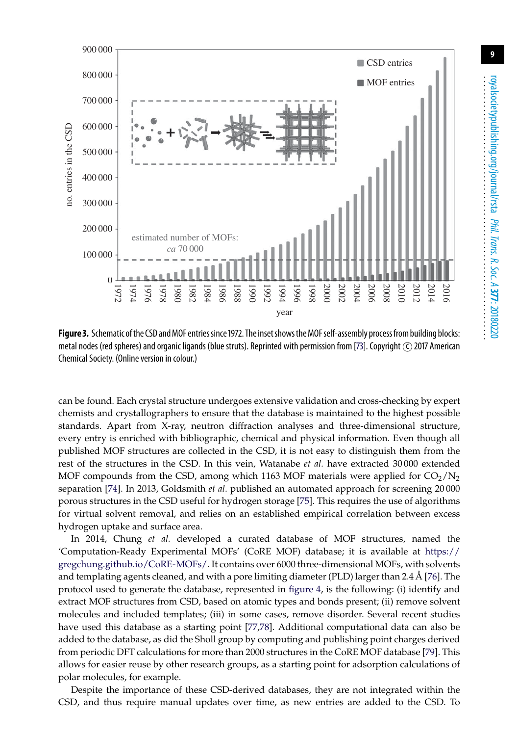**9**



<span id="page-8-0"></span>**Figure 3.** Schematic of the CSD and MOF entries since 1972. The inset shows the MOF self-assembly process from building blocks: metal nodes (red spheres) and organic ligands (blue struts). Reprinted with permission from [\[73\]](#page-15-13). Copyright (C) 2017 American Chemical Society. (Online version in colour.)

can be found. Each crystal structure undergoes extensive validation and cross-checking by expert chemists and crystallographers to ensure that the database is maintained to the highest possible standards. Apart from X-ray, neutron diffraction analyses and three-dimensional structure, every entry is enriched with bibliographic, chemical and physical information. Even though all published MOF structures are collected in the CSD, it is not easy to distinguish them from the rest of the structures in the CSD. In this vein, Watanabe *et al.* have extracted 30 000 extended MOF compounds from the CSD, among which 1163 MOF materials were applied for  $CO_2/N_2$ separation [\[74\]](#page-15-14). In 2013, Goldsmith *et al*. published an automated approach for screening 20 000 porous structures in the CSD useful for hydrogen storage [\[75\]](#page-15-15). This requires the use of algorithms for virtual solvent removal, and relies on an established empirical correlation between excess hydrogen uptake and surface area.

In 2014, Chung *et al.* developed a curated database of MOF structures, named the 'Computation-Ready Experimental MOFs' (CoRE MOF) database; it is available at [https://](https://gregchung.github.io/CoRE-MOFs/) [gregchung.github.io/CoRE-MOFs/.](https://gregchung.github.io/CoRE-MOFs/) It contains over 6000 three-dimensional MOFs, with solvents and templating agents cleaned, and with a pore limiting diameter (PLD) larger than 2.4 Å [\[76\]](#page-15-16). The protocol used to generate the database, represented in [figure 4,](#page-9-0) is the following: (i) identify and extract MOF structures from CSD, based on atomic types and bonds present; (ii) remove solvent molecules and included templates; (iii) in some cases, remove disorder. Several recent studies have used this database as a starting point [\[77](#page-15-17)[,78\]](#page-15-18). Additional computational data can also be added to the database, as did the Sholl group by computing and publishing point charges derived from periodic DFT calculations for more than 2000 structures in the CoRE MOF database [\[79\]](#page-15-19). This allows for easier reuse by other research groups, as a starting point for adsorption calculations of polar molecules, for example.

Despite the importance of these CSD-derived databases, they are not integrated within the CSD, and thus require manual updates over time, as new entries are added to the CSD. To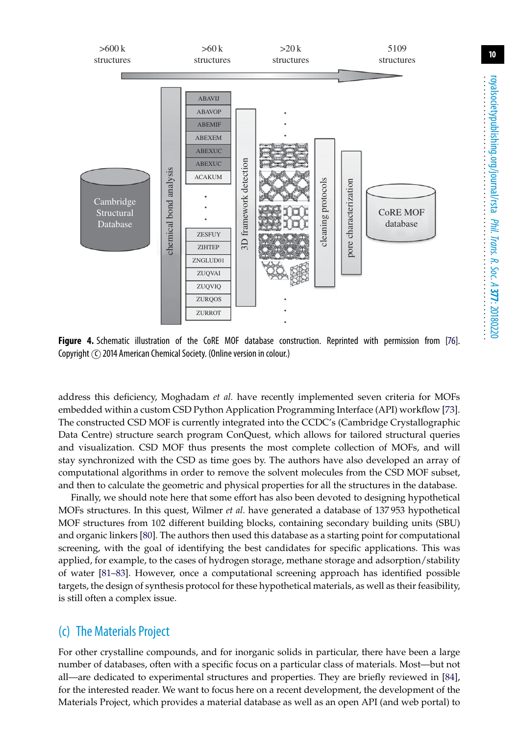

<span id="page-9-0"></span>**Figure 4.** Schematic illustration of the CoRE MOF database construction. Reprinted with permission from [\[76\]](#page-15-16). Copyright  $\odot$  2014 American Chemical Society. (Online version in colour.)

address this deficiency, Moghadam *et al.* have recently implemented seven criteria for MOFs embedded within a custom CSD Python Application Programming Interface (API) workflow [\[73\]](#page-15-13). The constructed CSD MOF is currently integrated into the CCDC's (Cambridge Crystallographic Data Centre) structure search program ConQuest, which allows for tailored structural queries and visualization. CSD MOF thus presents the most complete collection of MOFs, and will stay synchronized with the CSD as time goes by. The authors have also developed an array of computational algorithms in order to remove the solvent molecules from the CSD MOF subset, and then to calculate the geometric and physical properties for all the structures in the database.

Finally, we should note here that some effort has also been devoted to designing hypothetical MOFs structures. In this quest, Wilmer *et al.* have generated a database of 137 953 hypothetical MOF structures from 102 different building blocks, containing secondary building units (SBU) and organic linkers [\[80\]](#page-15-20). The authors then used this database as a starting point for computational screening, with the goal of identifying the best candidates for specific applications. This was applied, for example, to the cases of hydrogen storage, methane storage and adsorption/stability of water [\[81](#page-16-0)[–83\]](#page-16-1). However, once a computational screening approach has identified possible targets, the design of synthesis protocol for these hypothetical materials, as well as their feasibility, is still often a complex issue.

#### (c) The Materials Project

For other crystalline compounds, and for inorganic solids in particular, there have been a large number of databases, often with a specific focus on a particular class of materials. Most—but not all—are dedicated to experimental structures and properties. They are briefly reviewed in [\[84\]](#page-16-2), for the interested reader. We want to focus here on a recent development, the development of the Materials Project, which provides a material database as well as an open API (and web portal) to **10**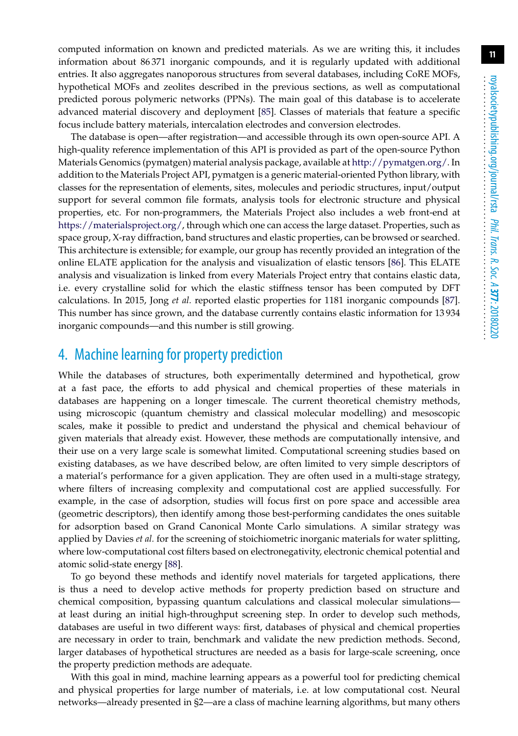computed information on known and predicted materials. As we are writing this, it includes information about 86 371 inorganic compounds, and it is regularly updated with additional entries. It also aggregates nanoporous structures from several databases, including CoRE MOFs, hypothetical MOFs and zeolites described in the previous sections, as well as computational predicted porous polymeric networks (PPNs). The main goal of this database is to accelerate advanced material discovery and deployment [\[85\]](#page-16-3). Classes of materials that feature a specific focus include battery materials, intercalation electrodes and conversion electrodes.

The database is open—after registration—and accessible through its own open-source API. A high-quality reference implementation of this API is provided as part of the open-source Python Materials Genomics (pymatgen) material analysis package, available at [http://pymatgen.org/.](http://pymatgen.org/) In addition to the Materials Project API, pymatgen is a generic material-oriented Python library, with classes for the representation of elements, sites, molecules and periodic structures, input/output support for several common file formats, analysis tools for electronic structure and physical properties, etc. For non-programmers, the Materials Project also includes a web front-end at [https://materialsproject.org/,](https://materialsproject.org/) through which one can access the large dataset. Properties, such as space group, X-ray diffraction, band structures and elastic properties, can be browsed or searched. This architecture is extensible; for example, our group has recently provided an integration of the online ELATE application for the analysis and visualization of elastic tensors [\[86\]](#page-16-4). This ELATE analysis and visualization is linked from every Materials Project entry that contains elastic data, i.e. every crystalline solid for which the elastic stiffness tensor has been computed by DFT calculations. In 2015, Jong *et al.* reported elastic properties for 1181 inorganic compounds [\[87\]](#page-16-5). This number has since grown, and the database currently contains elastic information for 13 934 inorganic compounds—and this number is still growing.

### 4. Machine learning for property prediction

While the databases of structures, both experimentally determined and hypothetical, grow at a fast pace, the efforts to add physical and chemical properties of these materials in databases are happening on a longer timescale. The current theoretical chemistry methods, using microscopic (quantum chemistry and classical molecular modelling) and mesoscopic scales, make it possible to predict and understand the physical and chemical behaviour of given materials that already exist. However, these methods are computationally intensive, and their use on a very large scale is somewhat limited. Computational screening studies based on existing databases, as we have described below, are often limited to very simple descriptors of a material's performance for a given application. They are often used in a multi-stage strategy, where filters of increasing complexity and computational cost are applied successfully. For example, in the case of adsorption, studies will focus first on pore space and accessible area (geometric descriptors), then identify among those best-performing candidates the ones suitable for adsorption based on Grand Canonical Monte Carlo simulations. A similar strategy was applied by Davies *et al.* for the screening of stoichiometric inorganic materials for water splitting, where low-computational cost filters based on electronegativity, electronic chemical potential and atomic solid-state energy [\[88\]](#page-16-6).

To go beyond these methods and identify novel materials for targeted applications, there is thus a need to develop active methods for property prediction based on structure and chemical composition, bypassing quantum calculations and classical molecular simulations at least during an initial high-throughput screening step. In order to develop such methods, databases are useful in two different ways: first, databases of physical and chemical properties are necessary in order to train, benchmark and validate the new prediction methods. Second, larger databases of hypothetical structures are needed as a basis for large-scale screening, once the property prediction methods are adequate.

With this goal in mind, machine learning appears as a powerful tool for predicting chemical and physical properties for large number of materials, i.e. at low computational cost. Neural networks—already presented in §2—are a class of machine learning algorithms, but many others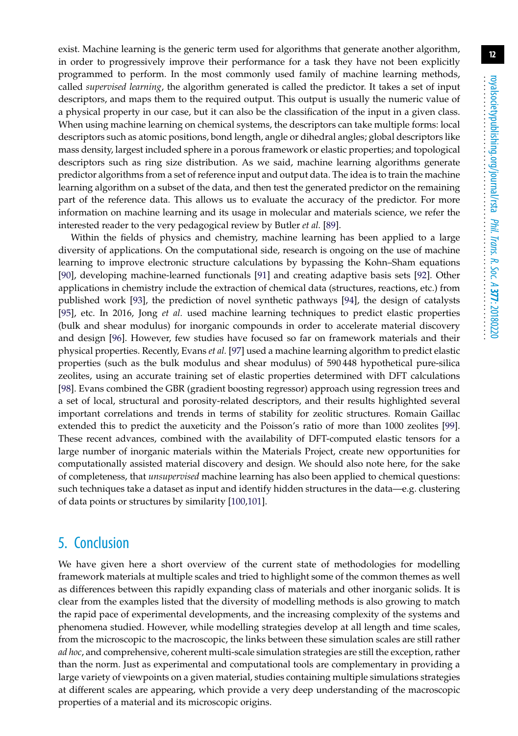exist. Machine learning is the generic term used for algorithms that generate another algorithm, in order to progressively improve their performance for a task they have not been explicitly programmed to perform. In the most commonly used family of machine learning methods, called *supervised learning*, the algorithm generated is called the predictor. It takes a set of input descriptors, and maps them to the required output. This output is usually the numeric value of a physical property in our case, but it can also be the classification of the input in a given class. When using machine learning on chemical systems, the descriptors can take multiple forms: local descriptors such as atomic positions, bond length, angle or dihedral angles; global descriptors like mass density, largest included sphere in a porous framework or elastic properties; and topological descriptors such as ring size distribution. As we said, machine learning algorithms generate predictor algorithms from a set of reference input and output data. The idea is to train the machine learning algorithm on a subset of the data, and then test the generated predictor on the remaining part of the reference data. This allows us to evaluate the accuracy of the predictor. For more information on machine learning and its usage in molecular and materials science, we refer the interested reader to the very pedagogical review by Butler *et al.* [\[89\]](#page-16-7).

Within the fields of physics and chemistry, machine learning has been applied to a large diversity of applications. On the computational side, research is ongoing on the use of machine learning to improve electronic structure calculations by bypassing the Kohn–Sham equations [\[90\]](#page-16-8), developing machine-learned functionals [\[91\]](#page-16-9) and creating adaptive basis sets [\[92\]](#page-16-10). Other applications in chemistry include the extraction of chemical data (structures, reactions, etc.) from published work [\[93\]](#page-16-11), the prediction of novel synthetic pathways [\[94\]](#page-16-12), the design of catalysts [\[95\]](#page-16-13), etc. In 2016, Jong *et al.* used machine learning techniques to predict elastic properties (bulk and shear modulus) for inorganic compounds in order to accelerate material discovery and design [\[96\]](#page-16-14). However, few studies have focused so far on framework materials and their physical properties. Recently, Evans *et al.* [\[97\]](#page-16-15) used a machine learning algorithm to predict elastic properties (such as the bulk modulus and shear modulus) of 590 448 hypothetical pure-silica zeolites, using an accurate training set of elastic properties determined with DFT calculations [\[98\]](#page-16-16). Evans combined the GBR (gradient boosting regressor) approach using regression trees and a set of local, structural and porosity-related descriptors, and their results highlighted several important correlations and trends in terms of stability for zeolitic structures. Romain Gaillac extended this to predict the auxeticity and the Poisson's ratio of more than 1000 zeolites [\[99\]](#page-16-17). These recent advances, combined with the availability of DFT-computed elastic tensors for a large number of inorganic materials within the Materials Project, create new opportunities for computationally assisted material discovery and design. We should also note here, for the sake of completeness, that *unsupervised* machine learning has also been applied to chemical questions: such techniques take a dataset as input and identify hidden structures in the data—e.g. clustering of data points or structures by similarity [\[100,](#page-16-18)[101\]](#page-16-19).

## 5. Conclusion

We have given here a short overview of the current state of methodologies for modelling framework materials at multiple scales and tried to highlight some of the common themes as well as differences between this rapidly expanding class of materials and other inorganic solids. It is clear from the examples listed that the diversity of modelling methods is also growing to match the rapid pace of experimental developments, and the increasing complexity of the systems and phenomena studied. However, while modelling strategies develop at all length and time scales, from the microscopic to the macroscopic, the links between these simulation scales are still rather *ad hoc*, and comprehensive, coherent multi-scale simulation strategies are still the exception, rather than the norm. Just as experimental and computational tools are complementary in providing a large variety of viewpoints on a given material, studies containing multiple simulations strategies at different scales are appearing, which provide a very deep understanding of the macroscopic properties of a material and its microscopic origins.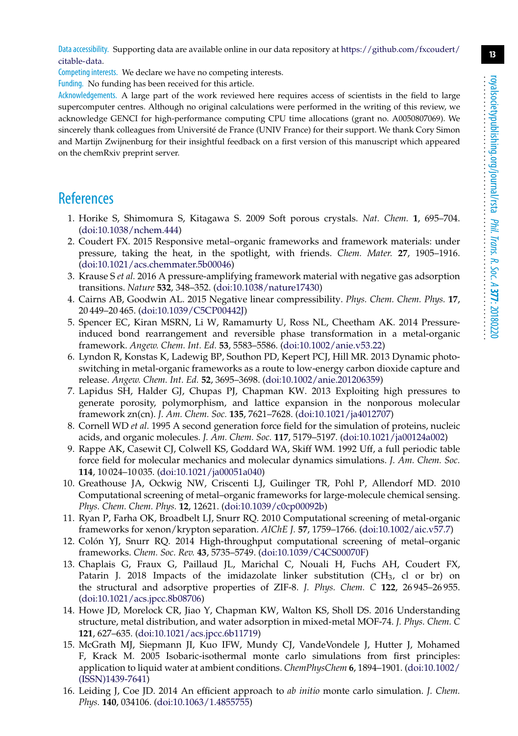Data accessibility. Supporting data are available online in our data repository at [https://github.com/fxcoudert/](https://github.com/fxcoudert/citable-data) [citable-data.](https://github.com/fxcoudert/citable-data)

Competing interests. We declare we have no competing interests.

Funding. No funding has been received for this article.

Acknowledgements. A large part of the work reviewed here requires access of scientists in the field to large supercomputer centres. Although no original calculations were performed in the writing of this review, we acknowledge GENCI for high-performance computing CPU time allocations (grant no. A0050807069). We sincerely thank colleagues from Université de France (UNIV France) for their support. We thank Cory Simon and Martijn Zwijnenburg for their insightful feedback on a first version of this manuscript which appeared on the chemRxiv preprint server.

## <span id="page-12-0"></span>**References**

- 1. Horike S, Shimomura S, Kitagawa S. 2009 Soft porous crystals. *Nat. Chem.* **1**, 695–704. [\(doi:10.1038/nchem.444\)](http://dx.doi.org/doi:10.1038/nchem.444)
- <span id="page-12-1"></span>2. Coudert FX. 2015 Responsive metal–organic frameworks and framework materials: under pressure, taking the heat, in the spotlight, with friends. *Chem. Mater.* **27**, 1905–1916. [\(doi:10.1021/acs.chemmater.5b00046\)](http://dx.doi.org/doi:10.1021/acs.chemmater.5b00046)
- <span id="page-12-2"></span>3. Krause S *et al.* 2016 A pressure-amplifying framework material with negative gas adsorption transitions. *Nature* **532**, 348–352. [\(doi:10.1038/nature17430\)](http://dx.doi.org/doi:10.1038/nature17430)
- <span id="page-12-3"></span>4. Cairns AB, Goodwin AL. 2015 Negative linear compressibility. *Phys. Chem. Chem. Phys.* **17**, 20 449–20 465. [\(doi:10.1039/C5CP00442J\)](http://dx.doi.org/doi:10.1039/C5CP00442J)
- <span id="page-12-4"></span>5. Spencer EC, Kiran MSRN, Li W, Ramamurty U, Ross NL, Cheetham AK. 2014 Pressureinduced bond rearrangement and reversible phase transformation in a metal-organic framework. *Angew. Chem. Int. Ed.* **53**, 5583–5586. [\(doi:10.1002/anie.v53.22\)](http://dx.doi.org/doi:10.1002/anie.v53.22)
- <span id="page-12-5"></span>6. Lyndon R, Konstas K, Ladewig BP, Southon PD, Kepert PCJ, Hill MR. 2013 Dynamic photoswitching in metal-organic frameworks as a route to low-energy carbon dioxide capture and release. *Angew. Chem. Int. Ed.* **52**, 3695–3698. [\(doi:10.1002/anie.201206359\)](http://dx.doi.org/doi:10.1002/anie.201206359)
- <span id="page-12-6"></span>7. Lapidus SH, Halder GJ, Chupas PJ, Chapman KW. 2013 Exploiting high pressures to generate porosity, polymorphism, and lattice expansion in the nonporous molecular framework zn(cn). *J. Am. Chem. Soc.* **135**, 7621–7628. [\(doi:10.1021/ja4012707\)](http://dx.doi.org/doi:10.1021/ja4012707)
- <span id="page-12-7"></span>8. Cornell WD *et al.* 1995 A second generation force field for the simulation of proteins, nucleic acids, and organic molecules. *J. Am. Chem. Soc.* **117**, 5179–5197. [\(doi:10.1021/ja00124a002\)](http://dx.doi.org/doi:10.1021/ja00124a002)
- <span id="page-12-8"></span>9. Rappe AK, Casewit CJ, Colwell KS, Goddard WA, Skiff WM. 1992 Uff, a full periodic table force field for molecular mechanics and molecular dynamics simulations. *J. Am. Chem. Soc.* **114**, 10 024–10 035. [\(doi:10.1021/ja00051a040\)](http://dx.doi.org/doi:10.1021/ja00051a040)
- <span id="page-12-9"></span>10. Greathouse JA, Ockwig NW, Criscenti LJ, Guilinger TR, Pohl P, Allendorf MD. 2010 Computational screening of metal–organic frameworks for large-molecule chemical sensing. *Phys. Chem. Chem. Phys.* **12**, 12621. [\(doi:10.1039/c0cp00092b\)](http://dx.doi.org/doi:10.1039/c0cp00092b)
- 11. Ryan P, Farha OK, Broadbelt LJ, Snurr RQ. 2010 Computational screening of metal-organic frameworks for xenon/krypton separation. *AIChE J.* **57**, 1759–1766. [\(doi:10.1002/aic.v57.7\)](http://dx.doi.org/doi:10.1002/aic.v57.7)
- <span id="page-12-10"></span>12. Colón YJ, Snurr RQ. 2014 High-throughput computational screening of metal–organic frameworks. *Chem. Soc. Rev.* **43**, 5735–5749. [\(doi:10.1039/C4CS00070F\)](http://dx.doi.org/doi:10.1039/C4CS00070F)
- <span id="page-12-11"></span>13. Chaplais G, Fraux G, Paillaud JL, Marichal C, Nouali H, Fuchs AH, Coudert FX, Patarin J. 2018 Impacts of the imidazolate linker substitution (CH<sub>3</sub>, cl or br) on the structural and adsorptive properties of ZIF-8. *J. Phys. Chem. C* **122**, 26 945–26 955. [\(doi:10.1021/acs.jpcc.8b08706\)](http://dx.doi.org/doi:10.1021/acs.jpcc.8b08706)
- <span id="page-12-12"></span>14. Howe JD, Morelock CR, Jiao Y, Chapman KW, Walton KS, Sholl DS. 2016 Understanding structure, metal distribution, and water adsorption in mixed-metal MOF-74. *J. Phys. Chem. C* **121**, 627–635. [\(doi:10.1021/acs.jpcc.6b11719\)](http://dx.doi.org/doi:10.1021/acs.jpcc.6b11719)
- <span id="page-12-13"></span>15. McGrath MJ, Siepmann JI, Kuo IFW, Mundy CJ, VandeVondele J, Hutter J, Mohamed F, Krack M. 2005 Isobaric-isothermal monte carlo simulations from first principles: application to liquid water at ambient conditions. *ChemPhysChem* **6**, 1894–1901. [\(doi:10.1002/](http://dx.doi.org/doi:10.1002/(ISSN)1439-7641) [\(ISSN\)1439-7641\)](http://dx.doi.org/doi:10.1002/(ISSN)1439-7641)
- <span id="page-12-14"></span>16. Leiding J, Coe JD. 2014 An efficient approach to *ab initio* monte carlo simulation. *J. Chem. Phys.* **140**, 034106. [\(doi:10.1063/1.4855755\)](http://dx.doi.org/doi:10.1063/1.4855755)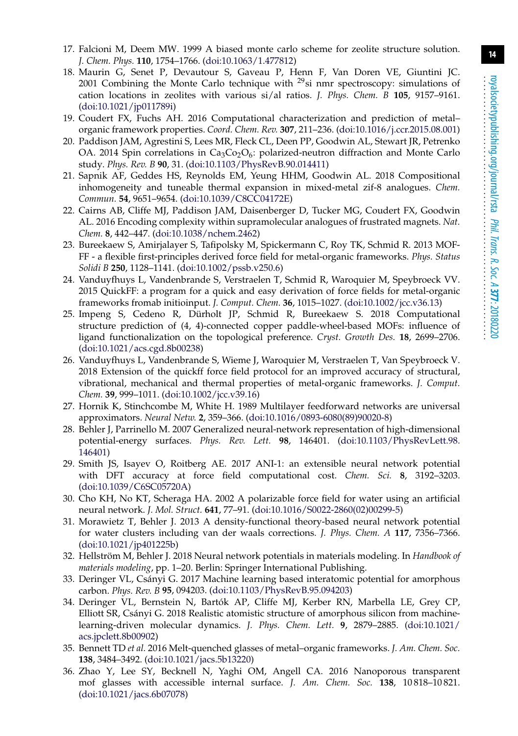- <span id="page-13-0"></span>17. Falcioni M, Deem MW. 1999 A biased monte carlo scheme for zeolite structure solution. *J. Chem. Phys.* **110**, 1754–1766. [\(doi:10.1063/1.477812\)](http://dx.doi.org/doi:10.1063/1.477812)
- <span id="page-13-1"></span>18. Maurin G, Senet P, Devautour S, Gaveau P, Henn F, Van Doren VE, Giuntini JC. 2001 Combining the Monte Carlo technique with  $^{29}$ si nmr spectroscopy: simulations of cation locations in zeolites with various si/al ratios. *J. Phys. Chem. B* **105**, 9157–9161. [\(doi:10.1021/jp011789i\)](http://dx.doi.org/doi:10.1021/jp011789i)
- <span id="page-13-2"></span>19. Coudert FX, Fuchs AH. 2016 Computational characterization and prediction of metal– organic framework properties. *Coord. Chem. Rev.* **307**, 211–236. [\(doi:10.1016/j.ccr.2015.08.001\)](http://dx.doi.org/doi:10.1016/j.ccr.2015.08.001)
- <span id="page-13-3"></span>20. Paddison JAM, Agrestini S, Lees MR, Fleck CL, Deen PP, Goodwin AL, Stewart JR, Petrenko OA. 2014 Spin correlations in  $Ca_3Co_2O_6$ : polarized-neutron diffraction and Monte Carlo study. *Phys. Rev. B* **90**, 31. [\(doi:10.1103/PhysRevB.90.014411\)](http://dx.doi.org/doi:10.1103/PhysRevB.90.014411)
- 21. Sapnik AF, Geddes HS, Reynolds EM, Yeung HHM, Goodwin AL. 2018 Compositional inhomogeneity and tuneable thermal expansion in mixed-metal zif-8 analogues. *Chem. Commun.* **54**, 9651–9654. [\(doi:10.1039/C8CC04172E\)](http://dx.doi.org/doi:10.1039/C8CC04172E)
- <span id="page-13-4"></span>22. Cairns AB, Cliffe MJ, Paddison JAM, Daisenberger D, Tucker MG, Coudert FX, Goodwin AL. 2016 Encoding complexity within supramolecular analogues of frustrated magnets. *Nat. Chem.* **8**, 442–447. [\(doi:10.1038/nchem.2462\)](http://dx.doi.org/doi:10.1038/nchem.2462)
- <span id="page-13-5"></span>23. Bureekaew S, Amirjalayer S, Tafipolsky M, Spickermann C, Roy TK, Schmid R. 2013 MOF-FF - a flexible first-principles derived force field for metal-organic frameworks. *Phys. Status Solidi B* **250**, 1128–1141. [\(doi:10.1002/pssb.v250.6\)](http://dx.doi.org/doi:10.1002/pssb.v250.6)
- <span id="page-13-6"></span>24. Vanduyfhuys L, Vandenbrande S, Verstraelen T, Schmid R, Waroquier M, Speybroeck VV. 2015 QuickFF: a program for a quick and easy derivation of force fields for metal-organic frameworks fromab initioinput. *J. Comput. Chem.* **36**, 1015–1027. [\(doi:10.1002/jcc.v36.13\)](http://dx.doi.org/doi:10.1002/jcc.v36.13)
- <span id="page-13-7"></span>25. Impeng S, Cedeno R, Dürholt JP, Schmid R, Bureekaew S. 2018 Computational structure prediction of (4, 4)-connected copper paddle-wheel-based MOFs: influence of ligand functionalization on the topological preference. *Cryst. Growth Des.* **18**, 2699–2706. [\(doi:10.1021/acs.cgd.8b00238\)](http://dx.doi.org/doi:10.1021/acs.cgd.8b00238)
- <span id="page-13-8"></span>26. Vanduyfhuys L, Vandenbrande S, Wieme J, Waroquier M, Verstraelen T, Van Speybroeck V. 2018 Extension of the quickff force field protocol for an improved accuracy of structural, vibrational, mechanical and thermal properties of metal-organic frameworks. *J. Comput. Chem.* **39**, 999–1011. [\(doi:10.1002/jcc.v39.16\)](http://dx.doi.org/doi:10.1002/jcc.v39.16)
- <span id="page-13-9"></span>27. Hornik K, Stinchcombe M, White H. 1989 Multilayer feedforward networks are universal approximators. *Neural Netw.* **2**, 359–366. [\(doi:10.1016/0893-6080\(89\)90020-8\)](http://dx.doi.org/doi:10.1016/0893-6080(89)90020-8)
- <span id="page-13-10"></span>28. Behler J, Parrinello M. 2007 Generalized neural-network representation of high-dimensional potential-energy surfaces. *Phys. Rev. Lett.* **98**, 146401. [\(doi:10.1103/PhysRevLett.98.](http://dx.doi.org/doi:10.1103/PhysRevLett.98.146401) [146401\)](http://dx.doi.org/doi:10.1103/PhysRevLett.98.146401)
- <span id="page-13-11"></span>29. Smith JS, Isayev O, Roitberg AE. 2017 ANI-1: an extensible neural network potential with DFT accuracy at force field computational cost. *Chem. Sci.* **8**, 3192–3203. [\(doi:10.1039/C6SC05720A\)](http://dx.doi.org/doi:10.1039/C6SC05720A)
- <span id="page-13-12"></span>30. Cho KH, No KT, Scheraga HA. 2002 A polarizable force field for water using an artificial neural network. *J. Mol. Struct.* **641**, 77–91. [\(doi:10.1016/S0022-2860\(02\)00299-5\)](http://dx.doi.org/doi:10.1016/S0022-2860(02)00299-5)
- <span id="page-13-13"></span>31. Morawietz T, Behler J. 2013 A density-functional theory-based neural network potential for water clusters including van der waals corrections. *J. Phys. Chem. A* **117**, 7356–7366. [\(doi:10.1021/jp401225b\)](http://dx.doi.org/doi:10.1021/jp401225b)
- <span id="page-13-14"></span>32. Hellström M, Behler J. 2018 Neural network potentials in materials modeling. In *Handbook of materials modeling*, pp. 1–20. Berlin: Springer International Publishing.
- <span id="page-13-15"></span>33. Deringer VL, Csányi G. 2017 Machine learning based interatomic potential for amorphous carbon. *Phys. Rev. B* **95**, 094203. [\(doi:10.1103/PhysRevB.95.094203\)](http://dx.doi.org/doi:10.1103/PhysRevB.95.094203)
- <span id="page-13-16"></span>34. Deringer VL, Bernstein N, Bartók AP, Cliffe MJ, Kerber RN, Marbella LE, Grey CP, Elliott SR, Csányi G. 2018 Realistic atomistic structure of amorphous silicon from machinelearning-driven molecular dynamics. *J. Phys. Chem. Lett.* **9**, 2879–2885. [\(doi:10.1021/](http://dx.doi.org/doi:10.1021/acs.jpclett.8b00902) [acs.jpclett.8b00902\)](http://dx.doi.org/doi:10.1021/acs.jpclett.8b00902)
- <span id="page-13-17"></span>35. Bennett TD *et al.* 2016 Melt-quenched glasses of metal–organic frameworks. *J. Am. Chem. Soc.* **138**, 3484–3492. [\(doi:10.1021/jacs.5b13220\)](http://dx.doi.org/doi:10.1021/jacs.5b13220)
- 36. Zhao Y, Lee SY, Becknell N, Yaghi OM, Angell CA. 2016 Nanoporous transparent mof glasses with accessible internal surface. *J. Am. Chem. Soc.* **138**, 10 818–10 821. [\(doi:10.1021/jacs.6b07078\)](http://dx.doi.org/doi:10.1021/jacs.6b07078)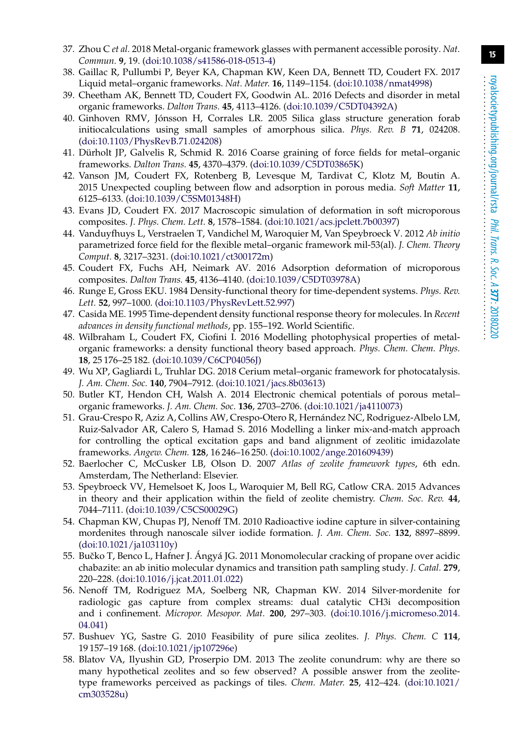- <span id="page-14-0"></span>37. Zhou C *et al.* 2018 Metal-organic framework glasses with permanent accessible porosity. *Nat. Commun.* **9**, 19. [\(doi:10.1038/s41586-018-0513-4\)](http://dx.doi.org/doi:10.1038/s41586-018-0513-4)
- <span id="page-14-1"></span>38. Gaillac R, Pullumbi P, Beyer KA, Chapman KW, Keen DA, Bennett TD, Coudert FX. 2017 Liquid metal–organic frameworks. *Nat. Mater.* **16**, 1149–1154. [\(doi:10.1038/nmat4998\)](http://dx.doi.org/doi:10.1038/nmat4998)
- <span id="page-14-2"></span>39. Cheetham AK, Bennett TD, Coudert FX, Goodwin AL. 2016 Defects and disorder in metal organic frameworks. *Dalton Trans.* **45**, 4113–4126. [\(doi:10.1039/C5DT04392A\)](http://dx.doi.org/doi:10.1039/C5DT04392A)
- <span id="page-14-3"></span>40. Ginhoven RMV, Jónsson H, Corrales LR. 2005 Silica glass structure generation forab initiocalculations using small samples of amorphous silica. *Phys. Rev. B* **71**, 024208. [\(doi:10.1103/PhysRevB.71.024208\)](http://dx.doi.org/doi:10.1103/PhysRevB.71.024208)
- <span id="page-14-4"></span>41. Dürholt JP, Galvelis R, Schmid R. 2016 Coarse graining of force fields for metal–organic frameworks. *Dalton Trans.* **45**, 4370–4379. [\(doi:10.1039/C5DT03865K\)](http://dx.doi.org/doi:10.1039/C5DT03865K)
- <span id="page-14-5"></span>42. Vanson JM, Coudert FX, Rotenberg B, Levesque M, Tardivat C, Klotz M, Boutin A. 2015 Unexpected coupling between flow and adsorption in porous media. *Soft Matter* **11**, 6125–6133. [\(doi:10.1039/C5SM01348H\)](http://dx.doi.org/doi:10.1039/C5SM01348H)
- <span id="page-14-6"></span>43. Evans JD, Coudert FX. 2017 Macroscopic simulation of deformation in soft microporous composites. *J. Phys. Chem. Lett.* **8**, 1578–1584. [\(doi:10.1021/acs.jpclett.7b00397\)](http://dx.doi.org/doi:10.1021/acs.jpclett.7b00397)
- <span id="page-14-7"></span>44. Vanduyfhuys L, Verstraelen T, Vandichel M, Waroquier M, Van Speybroeck V. 2012 *Ab initio* parametrized force field for the flexible metal–organic framework mil-53(al). *J. Chem. Theory Comput.* **8**, 3217–3231. [\(doi:10.1021/ct300172m\)](http://dx.doi.org/doi:10.1021/ct300172m)
- <span id="page-14-8"></span>45. Coudert FX, Fuchs AH, Neimark AV. 2016 Adsorption deformation of microporous composites. *Dalton Trans.* **45**, 4136–4140. [\(doi:10.1039/C5DT03978A\)](http://dx.doi.org/doi:10.1039/C5DT03978A)
- <span id="page-14-9"></span>46. Runge E, Gross EKU. 1984 Density-functional theory for time-dependent systems. *Phys. Rev. Lett.* **52**, 997–1000. [\(doi:10.1103/PhysRevLett.52.997\)](http://dx.doi.org/doi:10.1103/PhysRevLett.52.997)
- <span id="page-14-10"></span>47. Casida ME. 1995 Time-dependent density functional response theory for molecules. In *Recent advances in density functional methods*, pp. 155–192. World Scientific.
- <span id="page-14-11"></span>48. Wilbraham L, Coudert FX, Ciofini I. 2016 Modelling photophysical properties of metalorganic frameworks: a density functional theory based approach. *Phys. Chem. Chem. Phys.* **18**, 25 176–25 182. [\(doi:10.1039/C6CP04056J\)](http://dx.doi.org/doi:10.1039/C6CP04056J)
- <span id="page-14-12"></span>49. Wu XP, Gagliardi L, Truhlar DG. 2018 Cerium metal–organic framework for photocatalysis. *J. Am. Chem. Soc.* **140**, 7904–7912. [\(doi:10.1021/jacs.8b03613\)](http://dx.doi.org/doi:10.1021/jacs.8b03613)
- <span id="page-14-13"></span>50. Butler KT, Hendon CH, Walsh A. 2014 Electronic chemical potentials of porous metal– organic frameworks. *J. Am. Chem. Soc.* **136**, 2703–2706. [\(doi:10.1021/ja4110073\)](http://dx.doi.org/doi:10.1021/ja4110073)
- <span id="page-14-14"></span>51. Grau-Crespo R, Aziz A, Collins AW, Crespo-Otero R, Hernández NC, Rodriguez-Albelo LM, Ruiz-Salvador AR, Calero S, Hamad S. 2016 Modelling a linker mix-and-match approach for controlling the optical excitation gaps and band alignment of zeolitic imidazolate frameworks. *Angew. Chem.* **128**, 16 246–16 250. [\(doi:10.1002/ange.201609439\)](http://dx.doi.org/doi:10.1002/ange.201609439)
- <span id="page-14-15"></span>52. Baerlocher C, McCusker LB, Olson D. 2007 *Atlas of zeolite framework types*, 6th edn. Amsterdam, The Netherland: Elsevier.
- <span id="page-14-16"></span>53. Speybroeck VV, Hemelsoet K, Joos L, Waroquier M, Bell RG, Catlow CRA. 2015 Advances in theory and their application within the field of zeolite chemistry. *Chem. Soc. Rev.* **44**, 7044–7111. [\(doi:10.1039/C5CS00029G\)](http://dx.doi.org/doi:10.1039/C5CS00029G)
- 54. Chapman KW, Chupas PJ, Nenoff TM. 2010 Radioactive iodine capture in silver-containing mordenites through nanoscale silver iodide formation. *J. Am. Chem. Soc.* **132**, 8897–8899. [\(doi:10.1021/ja103110y\)](http://dx.doi.org/doi:10.1021/ja103110y)
- 55. Bučko T, Benco L, Hafner J. Ángyá JG. 2011 Monomolecular cracking of propane over acidic chabazite: an ab initio molecular dynamics and transition path sampling study. *J. Catal.* **279**, 220–228. [\(doi:10.1016/j.jcat.2011.01.022\)](http://dx.doi.org/doi:10.1016/j.jcat.2011.01.022)
- <span id="page-14-17"></span>56. Nenoff TM, Rodriguez MA, Soelberg NR, Chapman KW. 2014 Silver-mordenite for radiologic gas capture from complex streams: dual catalytic CH3i decomposition and i confinement. *Micropor. Mesopor. Mat.* **200**, 297–303. [\(doi:10.1016/j.micromeso.2014.](http://dx.doi.org/doi:10.1016/j.micromeso.2014.04.041) [04.041\)](http://dx.doi.org/doi:10.1016/j.micromeso.2014.04.041)
- <span id="page-14-18"></span>57. Bushuev YG, Sastre G. 2010 Feasibility of pure silica zeolites. *J. Phys. Chem. C* **114**, 19 157–19 168. [\(doi:10.1021/jp107296e\)](http://dx.doi.org/doi:10.1021/jp107296e)
- <span id="page-14-19"></span>58. Blatov VA, Ilyushin GD, Proserpio DM. 2013 The zeolite conundrum: why are there so many hypothetical zeolites and so few observed? A possible answer from the zeolitetype frameworks perceived as packings of tiles. *Chem. Mater.* **25**, 412–424. [\(doi:10.1021/](http://dx.doi.org/doi:10.1021/cm303528u) [cm303528u\)](http://dx.doi.org/doi:10.1021/cm303528u)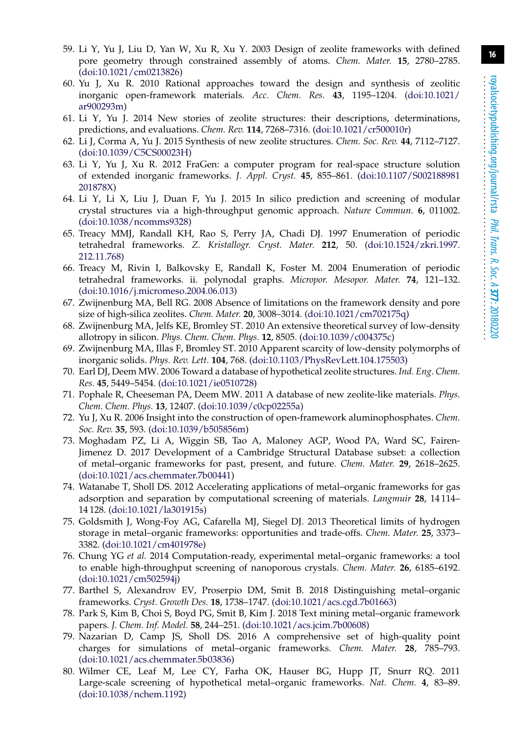- <span id="page-15-0"></span>59. Li Y, Yu J, Liu D, Yan W, Xu R, Xu Y. 2003 Design of zeolite frameworks with defined pore geometry through constrained assembly of atoms. *Chem. Mater.* **15**, 2780–2785. [\(doi:10.1021/cm0213826\)](http://dx.doi.org/doi:10.1021/cm0213826)
- 60. Yu J, Xu R. 2010 Rational approaches toward the design and synthesis of zeolitic inorganic open-framework materials. *Acc. Chem. Res.* **43**, 1195–1204. [\(doi:10.1021/](http://dx.doi.org/doi:10.1021/ar900293m) [ar900293m\)](http://dx.doi.org/doi:10.1021/ar900293m)
- <span id="page-15-1"></span>61. Li Y, Yu J. 2014 New stories of zeolite structures: their descriptions, determinations, predictions, and evaluations. *Chem. Rev.* **114**, 7268–7316. [\(doi:10.1021/cr500010r\)](http://dx.doi.org/doi:10.1021/cr500010r)
- <span id="page-15-2"></span>62. Li J, Corma A, Yu J. 2015 Synthesis of new zeolite structures. *Chem. Soc. Rev.* **44**, 7112–7127. [\(doi:10.1039/C5CS00023H\)](http://dx.doi.org/doi:10.1039/C5CS00023H)
- <span id="page-15-3"></span>63. Li Y, Yu J, Xu R. 2012 FraGen: a computer program for real-space structure solution of extended inorganic frameworks. *J. Appl. Cryst.* **45**, 855–861. [\(doi:10.1107/S002188981](http://dx.doi.org/doi:10.1107/S002188981201878X) [201878X\)](http://dx.doi.org/doi:10.1107/S002188981201878X)
- <span id="page-15-4"></span>64. Li Y, Li X, Liu J, Duan F, Yu J. 2015 In silico prediction and screening of modular crystal structures via a high-throughput genomic approach. *Nature Commun.* **6**, 011002. [\(doi:10.1038/ncomms9328\)](http://dx.doi.org/doi:10.1038/ncomms9328)
- <span id="page-15-5"></span>65. Treacy MMJ, Randall KH, Rao S, Perry JA, Chadi DJ. 1997 Enumeration of periodic tetrahedral frameworks. *Z. Kristallogr. Cryst. Mater.* **212**, 50. [\(doi:10.1524/zkri.1997.](http://dx.doi.org/doi:10.1524/zkri.1997.212.11.768) [212.11.768\)](http://dx.doi.org/doi:10.1524/zkri.1997.212.11.768)
- <span id="page-15-6"></span>66. Treacy M, Rivin I, Balkovsky E, Randall K, Foster M. 2004 Enumeration of periodic tetrahedral frameworks. ii. polynodal graphs. *Micropor. Mesopor. Mater.* **74**, 121–132. [\(doi:10.1016/j.micromeso.2004.06.013\)](http://dx.doi.org/doi:10.1016/j.micromeso.2004.06.013)
- <span id="page-15-7"></span>67. Zwijnenburg MA, Bell RG. 2008 Absence of limitations on the framework density and pore size of high-silica zeolites. *Chem. Mater.* **20**, 3008–3014. [\(doi:10.1021/cm702175q\)](http://dx.doi.org/doi:10.1021/cm702175q)
- <span id="page-15-8"></span>68. Zwijnenburg MA, Jelfs KE, Bromley ST. 2010 An extensive theoretical survey of low-density allotropy in silicon. *Phys. Chem. Chem. Phys.* **12**, 8505. [\(doi:10.1039/c004375c\)](http://dx.doi.org/doi:10.1039/c004375c)
- <span id="page-15-9"></span>69. Zwijnenburg MA, Illas F, Bromley ST. 2010 Apparent scarcity of low-density polymorphs of inorganic solids. *Phys. Rev. Lett.* **104**, 768. [\(doi:10.1103/PhysRevLett.104.175503\)](http://dx.doi.org/doi:10.1103/PhysRevLett.104.175503)
- <span id="page-15-10"></span>70. Earl DJ, Deem MW. 2006 Toward a database of hypothetical zeolite structures. *Ind. Eng. Chem. Res.* **45**, 5449–5454. [\(doi:10.1021/ie0510728\)](http://dx.doi.org/doi:10.1021/ie0510728)
- <span id="page-15-11"></span>71. Pophale R, Cheeseman PA, Deem MW. 2011 A database of new zeolite-like materials. *Phys. Chem. Chem. Phys.* **13**, 12407. [\(doi:10.1039/c0cp02255a\)](http://dx.doi.org/doi:10.1039/c0cp02255a)
- <span id="page-15-12"></span>72. Yu J, Xu R. 2006 Insight into the construction of open-framework aluminophosphates. *Chem. Soc. Rev.* **35**, 593. [\(doi:10.1039/b505856m\)](http://dx.doi.org/doi:10.1039/b505856m)
- <span id="page-15-13"></span>73. Moghadam PZ, Li A, Wiggin SB, Tao A, Maloney AGP, Wood PA, Ward SC, Fairen-Jimenez D. 2017 Development of a Cambridge Structural Database subset: a collection of metal–organic frameworks for past, present, and future. *Chem. Mater.* **29**, 2618–2625. [\(doi:10.1021/acs.chemmater.7b00441\)](http://dx.doi.org/doi:10.1021/acs.chemmater.7b00441)
- <span id="page-15-14"></span>74. Watanabe T, Sholl DS. 2012 Accelerating applications of metal–organic frameworks for gas adsorption and separation by computational screening of materials. *Langmuir* **28**, 14 114– 14 128. [\(doi:10.1021/la301915s\)](http://dx.doi.org/doi:10.1021/la301915s)
- <span id="page-15-15"></span>75. Goldsmith J, Wong-Foy AG, Cafarella MJ, Siegel DJ. 2013 Theoretical limits of hydrogen storage in metal–organic frameworks: opportunities and trade-offs. *Chem. Mater.* **25**, 3373– 3382. [\(doi:10.1021/cm401978e\)](http://dx.doi.org/doi:10.1021/cm401978e)
- <span id="page-15-16"></span>76. Chung YG *et al.* 2014 Computation-ready, experimental metal–organic frameworks: a tool to enable high-throughput screening of nanoporous crystals. *Chem. Mater.* **26**, 6185–6192. [\(doi:10.1021/cm502594j\)](http://dx.doi.org/doi:10.1021/cm502594j)
- <span id="page-15-17"></span>77. Barthel S, Alexandrov EV, Proserpio DM, Smit B. 2018 Distinguishing metal–organic frameworks. *Cryst. Growth Des.* **18**, 1738–1747. [\(doi:10.1021/acs.cgd.7b01663\)](http://dx.doi.org/doi:10.1021/acs.cgd.7b01663)
- <span id="page-15-18"></span>78. Park S, Kim B, Choi S, Boyd PG, Smit B, Kim J. 2018 Text mining metal–organic framework papers. *J. Chem. Inf. Model.* **58**, 244–251. [\(doi:10.1021/acs.jcim.7b00608\)](http://dx.doi.org/doi:10.1021/acs.jcim.7b00608)
- <span id="page-15-19"></span>79. Nazarian D, Camp JS, Sholl DS. 2016 A comprehensive set of high-quality point charges for simulations of metal–organic frameworks. *Chem. Mater.* **28**, 785–793. [\(doi:10.1021/acs.chemmater.5b03836\)](http://dx.doi.org/doi:10.1021/acs.chemmater.5b03836)
- <span id="page-15-20"></span>80. Wilmer CE, Leaf M, Lee CY, Farha OK, Hauser BG, Hupp JT, Snurr RQ. 2011 Large-scale screening of hypothetical metal–organic frameworks. *Nat. Chem.* **4**, 83–89. [\(doi:10.1038/nchem.1192\)](http://dx.doi.org/doi:10.1038/nchem.1192)